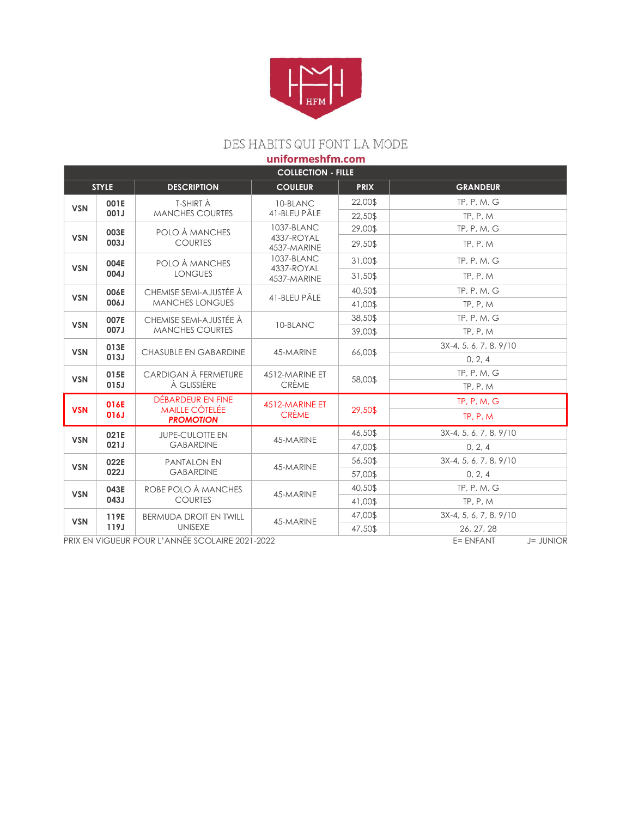

## DES HABITS QUI FONT LA MODE

| uniformeshfm.com |  |  |  |  |
|------------------|--|--|--|--|
|------------------|--|--|--|--|

| <b>COLLECTION - FILLE</b> |                                                            |                                                                       |                                |             |                        |
|---------------------------|------------------------------------------------------------|-----------------------------------------------------------------------|--------------------------------|-------------|------------------------|
|                           | <b>STYLE</b>                                               | <b>DESCRIPTION</b>                                                    | <b>COULEUR</b>                 | <b>PRIX</b> | <b>GRANDEUR</b>        |
| <b>VSN</b>                | 001E                                                       | T-SHIRT À                                                             | 10-BLANC                       | 22,00\$     | TP, P, M, G            |
|                           | 001J                                                       | <b>MANCHES COURTES</b>                                                | 41-BLEU PÂLE                   | 22,50\$     | TP, P, M               |
|                           | 003E                                                       | POLO À MANCHES                                                        | 1037-BLANC                     | 29,00\$     | TP, P, M, G            |
| <b>VSN</b>                | 003J                                                       | <b>COURTES</b>                                                        | 4337-ROYAL<br>4537-MARINE      | 29,50\$     | TP, P, M               |
| <b>VSN</b>                | 004E                                                       | POLO À MANCHES                                                        | 1037-BLANC<br>4337-ROYAL       | 31,00\$     | TP, P, M, G            |
|                           | 004J                                                       | <b>LONGUES</b>                                                        | 4537-MARINE                    | 31,50\$     | TP, P, M               |
| <b>VSN</b>                | CHEMISE SEMI-AJUSTÉE À<br>006E                             | 41-BLEU PÂLE                                                          | 40,50\$                        | TP, P, M, G |                        |
|                           | L800                                                       | <b>MANCHES LONGUES</b>                                                |                                | 41,00\$     | TP, P, M               |
| <b>VSN</b>                | 007E                                                       | CHEMISE SEMI-AJUSTÉE À<br><b>MANCHES COURTES</b>                      | 10-BLANC                       | 38,50\$     | TP, P, M, G            |
|                           | 007J                                                       |                                                                       |                                | 39,00\$     | TP, P, M               |
| <b>VSN</b>                | 013E<br>013J                                               | <b>CHASUBLE EN GABARDINE</b>                                          | 45-MARINE                      | 66,00\$     | 3X-4, 5, 6, 7, 8, 9/10 |
|                           |                                                            |                                                                       |                                |             | 0, 2, 4                |
| <b>VSN</b>                | 015E                                                       | CARDIGAN À FERMETURE                                                  | 4512-MARINE ET<br><b>CRÈME</b> | 58,00\$     | TP, P, M, G            |
|                           | 015J                                                       | À GLISSIÈRE                                                           |                                |             | TP, P, M               |
| <b>VSN</b>                | 016E<br>016J                                               | <b>DÉBARDEUR EN FINE</b><br><b>MAILLE CÔTELÉE</b><br><b>PROMOTION</b> | 4512-MARINE ET<br><b>CRÈME</b> | 29,50\$     | <b>TP, P, M, G</b>     |
|                           |                                                            |                                                                       |                                |             | TP, P, M               |
| <b>VSN</b>                | 021E<br><b>JUPE-CULOTTE EN</b><br>021J<br><b>GABARDINE</b> |                                                                       | 45-MARINE                      | 46,50\$     | 3X-4, 5, 6, 7, 8, 9/10 |
|                           |                                                            |                                                                       |                                | 47,00\$     | 0, 2, 4                |
| <b>VSN</b>                | 022E<br>022J                                               | <b>PANTALON EN</b><br><b>GABARDINE</b>                                | 45-MARINE                      | 56,50\$     | 3X-4, 5, 6, 7, 8, 9/10 |
|                           |                                                            |                                                                       |                                | 57,00\$     | 0, 2, 4                |
| <b>VSN</b>                | 043E<br>043J                                               | ROBE POLO À MANCHES<br><b>COURTES</b>                                 | 45-MARINE                      | 40,50\$     | TP, P, M, G            |
|                           |                                                            |                                                                       |                                | 41,00\$     | TP, P, M               |
| <b>VSN</b>                | 119E                                                       | <b>BERMUDA DROIT EN TWILL</b>                                         | 45-MARINE                      | 47,00\$     | 3X-4, 5, 6, 7, 8, 9/10 |
|                           | 119J                                                       | <b>UNISEXE</b>                                                        |                                | 47,50\$     | 26, 27, 28             |

PRIX EN VIGUEUR POUR L'ANNÉE SCOLAIRE 2021-2022 E= ENFANT J= JUNIOR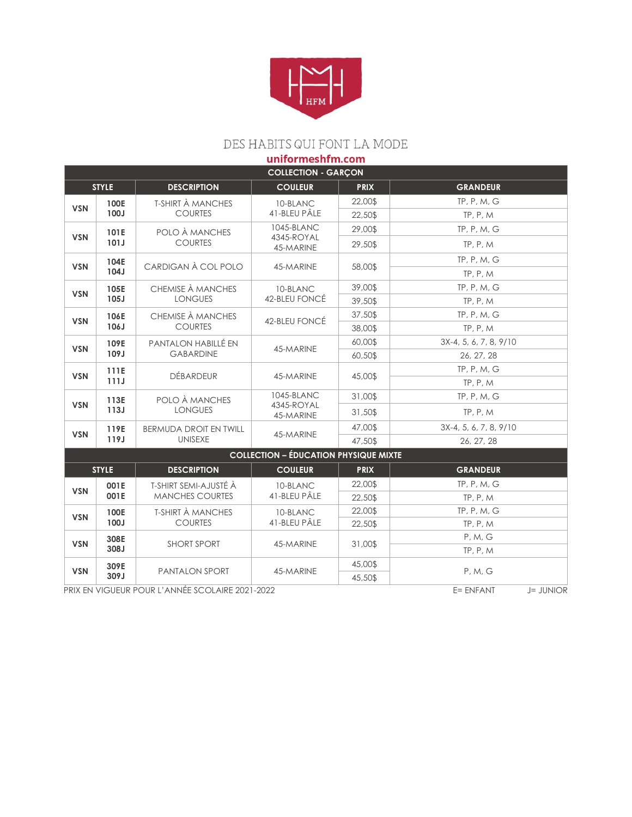

## DES HABITS QUI FONT LA MODE

uniformeshfm.com

| <b>COLLECTION - GARCON</b>                   |                               |                                          |                                       |                    |                        |  |
|----------------------------------------------|-------------------------------|------------------------------------------|---------------------------------------|--------------------|------------------------|--|
|                                              | <b>STYLE</b>                  | <b>DESCRIPTION</b>                       | <b>COULEUR</b>                        | <b>PRIX</b>        | <b>GRANDEUR</b>        |  |
| <b>VSN</b>                                   | 100E                          | <b>T-SHIRT À MANCHES</b>                 | 10-BLANC                              | 22,00\$            | TP, P, M, G            |  |
|                                              | 100J                          | <b>COURTES</b>                           | 41-BLEU PÂLE                          | 22,50\$            | TP, P, M               |  |
| <b>VSN</b>                                   | 101E                          | POLO À MANCHES<br>101J<br><b>COURTES</b> | 1045-BLANC<br>4345-ROYAL<br>45-MARINE | 29,00\$            | TP, P, M, G            |  |
|                                              |                               |                                          |                                       | 29,50\$            | TP, P, M               |  |
| <b>VSN</b>                                   | 104E<br>104J                  | CARDIGAN À COL POLO                      | 45-MARINE                             | 58,00\$            | TP, P, M, G            |  |
|                                              |                               |                                          |                                       |                    | TP, P, M               |  |
| <b>VSN</b>                                   | 105E                          | CHEMISE À MANCHES                        | 10-BLANC<br>42-BLEU FONCÉ             | 39,00\$            | TP, P, M, G            |  |
|                                              | 105J                          | <b>LONGUES</b>                           |                                       | 39,50\$            | TP, P, M               |  |
| <b>VSN</b>                                   | 106E                          | CHEMISE À MANCHES                        | 42-BLEU FONCÉ                         | 37,50\$            | TP, P, M, G            |  |
|                                              | 106J                          | <b>COURTES</b>                           |                                       | 38,00\$            | TP, P, M               |  |
| <b>VSN</b>                                   | 109E                          | PANTALON HABILLÉ EN                      | 45-MARINE                             | 60,00\$            | 3X-4, 5, 6, 7, 8, 9/10 |  |
|                                              | 109J                          | <b>GABARDINE</b>                         |                                       | 60,50\$            | 26, 27, 28             |  |
| <b>VSN</b>                                   | 111E                          | <b>DÉBARDEUR</b>                         | 45-MARINE                             | 45,00\$            | <b>TP, P, M, G</b>     |  |
|                                              | 111J                          |                                          |                                       |                    | TP, P, M               |  |
|                                              | POLO À MANCHES<br>113E        | 1045-BLANC<br>4345-ROYAL                 | 31,00\$                               | TP, P, M, G        |                        |  |
| <b>VSN</b>                                   | 113J                          | <b>LONGUES</b>                           | 45-MARINE                             | 31,50\$            | TP, P, M               |  |
| <b>VSN</b>                                   | 119E                          | <b>BERMUDA DROIT EN TWILL</b>            | 45-MARINE                             | 47,00\$            | 3X-4, 5, 6, 7, 8, 9/10 |  |
|                                              | 119J                          | <b>UNISEXE</b>                           |                                       | 47,50\$            | 26, 27, 28             |  |
| <b>COLLECTION - ÉDUCATION PHYSIQUE MIXTE</b> |                               |                                          |                                       |                    |                        |  |
|                                              | <b>STYLE</b>                  | <b>DESCRIPTION</b>                       | <b>COULEUR</b>                        | <b>PRIX</b>        | <b>GRANDEUR</b>        |  |
| <b>VSN</b>                                   | T-SHIRT SEMI-AJUSTÉ À<br>001E | 10-BLANC                                 | 22,00\$                               | <b>TP, P, M, G</b> |                        |  |
|                                              |                               | 001E<br><b>MANCHES COURTES</b>           | 41-BLEU PÂLE                          | 22,50\$            | TP, P, M               |  |
| <b>VSN</b>                                   | 100E<br>100J                  | <b>T-SHIRT À MANCHES</b>                 | 10-BLANC<br>41-BLEU PÂLE              | 22,00\$            | TP, P, M, G            |  |
|                                              |                               | <b>COURTES</b>                           |                                       | 22,50\$            | TP, P, M               |  |
| <b>VSN</b>                                   | 308E<br>308J                  | <b>SHORT SPORT</b>                       | 45-MARINE                             | 31,00\$            | P, M, G                |  |
|                                              |                               |                                          |                                       |                    | TP, P, M               |  |
| <b>VSN</b>                                   | 309E<br>309J                  | PANTALON SPORT                           | 45-MARINE                             | 45,00\$            | P.M.G                  |  |
|                                              |                               |                                          |                                       | 45,50\$            |                        |  |

PRIX EN VIGUEUR POUR L'ANNÉE SCOLAIRE 2021-2022